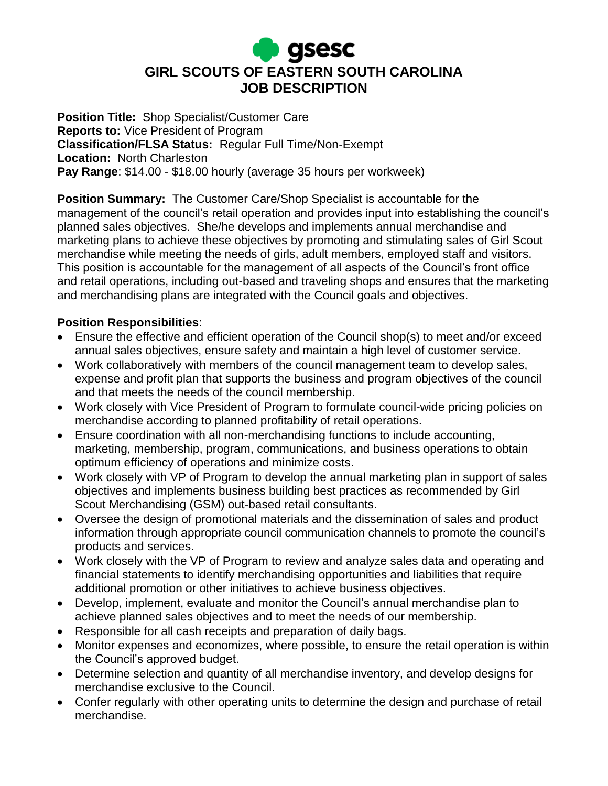

**Position Title:** Shop Specialist/Customer Care **Reports to:** Vice President of Program **Classification/FLSA Status:** Regular Full Time/Non-Exempt **Location:** North Charleston **Pay Range**: \$14.00 - \$18.00 hourly (average 35 hours per workweek)

**Position Summary:** The Customer Care/Shop Specialist is accountable for the management of the council's retail operation and provides input into establishing the council's planned sales objectives. She/he develops and implements annual merchandise and marketing plans to achieve these objectives by promoting and stimulating sales of Girl Scout merchandise while meeting the needs of girls, adult members, employed staff and visitors. This position is accountable for the management of all aspects of the Council's front office and retail operations, including out-based and traveling shops and ensures that the marketing and merchandising plans are integrated with the Council goals and objectives.

### **Position Responsibilities**:

- Ensure the effective and efficient operation of the Council shop(s) to meet and/or exceed annual sales objectives, ensure safety and maintain a high level of customer service.
- Work collaboratively with members of the council management team to develop sales, expense and profit plan that supports the business and program objectives of the council and that meets the needs of the council membership.
- Work closely with Vice President of Program to formulate council-wide pricing policies on merchandise according to planned profitability of retail operations.
- Ensure coordination with all non-merchandising functions to include accounting, marketing, membership, program, communications, and business operations to obtain optimum efficiency of operations and minimize costs.
- Work closely with VP of Program to develop the annual marketing plan in support of sales objectives and implements business building best practices as recommended by Girl Scout Merchandising (GSM) out-based retail consultants.
- Oversee the design of promotional materials and the dissemination of sales and product information through appropriate council communication channels to promote the council's products and services.
- Work closely with the VP of Program to review and analyze sales data and operating and financial statements to identify merchandising opportunities and liabilities that require additional promotion or other initiatives to achieve business objectives.
- Develop, implement, evaluate and monitor the Council's annual merchandise plan to achieve planned sales objectives and to meet the needs of our membership.
- Responsible for all cash receipts and preparation of daily bags.
- Monitor expenses and economizes, where possible, to ensure the retail operation is within the Council's approved budget.
- Determine selection and quantity of all merchandise inventory, and develop designs for merchandise exclusive to the Council.
- Confer regularly with other operating units to determine the design and purchase of retail merchandise.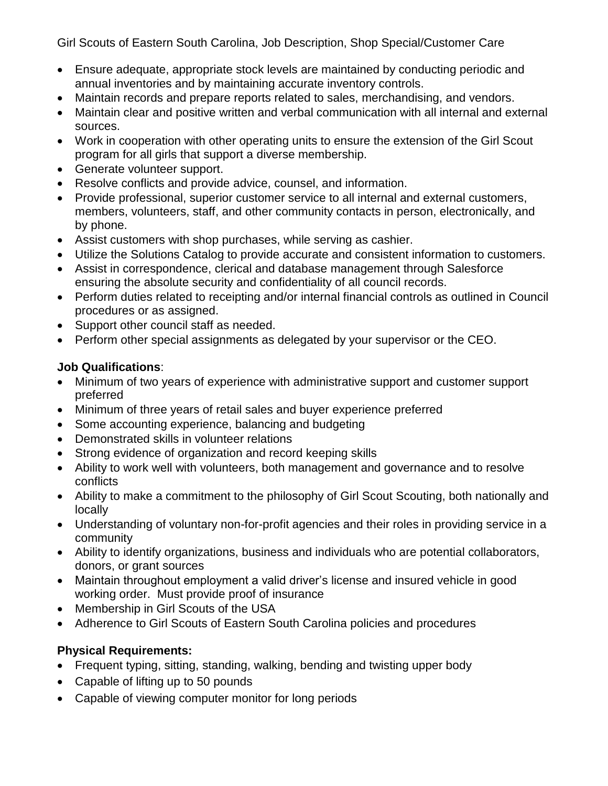Girl Scouts of Eastern South Carolina, Job Description, Shop Special/Customer Care

- Ensure adequate, appropriate stock levels are maintained by conducting periodic and annual inventories and by maintaining accurate inventory controls.
- Maintain records and prepare reports related to sales, merchandising, and vendors.
- Maintain clear and positive written and verbal communication with all internal and external sources.
- Work in cooperation with other operating units to ensure the extension of the Girl Scout program for all girls that support a diverse membership.
- Generate volunteer support.
- Resolve conflicts and provide advice, counsel, and information.
- Provide professional, superior customer service to all internal and external customers, members, volunteers, staff, and other community contacts in person, electronically, and by phone.
- Assist customers with shop purchases, while serving as cashier.
- Utilize the Solutions Catalog to provide accurate and consistent information to customers.
- Assist in correspondence, clerical and database management through Salesforce ensuring the absolute security and confidentiality of all council records.
- Perform duties related to receipting and/or internal financial controls as outlined in Council procedures or as assigned.
- Support other council staff as needed.
- Perform other special assignments as delegated by your supervisor or the CEO.

## **Job Qualifications**:

- Minimum of two years of experience with administrative support and customer support preferred
- Minimum of three years of retail sales and buyer experience preferred
- Some accounting experience, balancing and budgeting
- Demonstrated skills in volunteer relations
- Strong evidence of organization and record keeping skills
- Ability to work well with volunteers, both management and governance and to resolve conflicts
- Ability to make a commitment to the philosophy of Girl Scout Scouting, both nationally and locally
- Understanding of voluntary non-for-profit agencies and their roles in providing service in a community
- Ability to identify organizations, business and individuals who are potential collaborators, donors, or grant sources
- Maintain throughout employment a valid driver's license and insured vehicle in good working order. Must provide proof of insurance
- Membership in Girl Scouts of the USA
- Adherence to Girl Scouts of Eastern South Carolina policies and procedures

# **Physical Requirements:**

- Frequent typing, sitting, standing, walking, bending and twisting upper body
- Capable of lifting up to 50 pounds
- Capable of viewing computer monitor for long periods